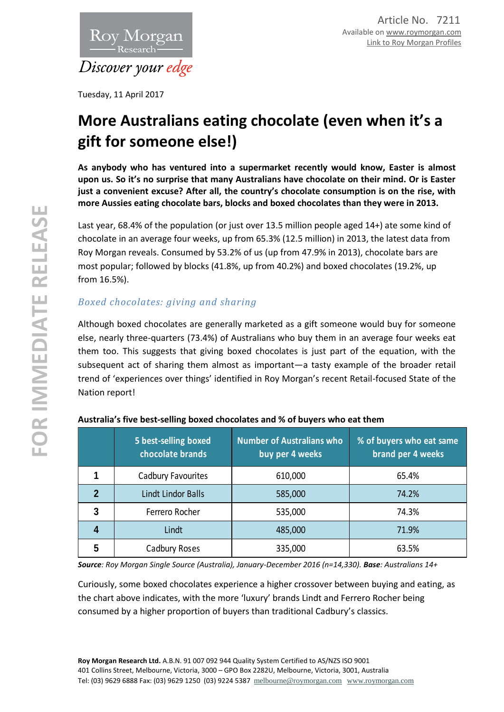

Tuesday, 11 April 2017

# **More Australians eating chocolate (even when it's a gift for someone else!)**

**As anybody who has ventured into a supermarket recently would know, Easter is almost upon us. So it's no surprise that many Australians have chocolate on their mind. Or is Easter just a convenient excuse? After all, the country's chocolate consumption is on the rise, with more Aussies eating chocolate bars, blocks and boxed chocolates than they were in 2013.**

Last year, 68.4% of the population (or just over 13.5 million people aged 14+) ate some kind of chocolate in an average four weeks, up from 65.3% (12.5 million) in 2013, the latest data from Roy Morgan reveals. Consumed by 53.2% of us (up from 47.9% in 2013), chocolate bars are most popular; followed by blocks (41.8%, up from 40.2%) and boxed chocolates (19.2%, up from 16.5%).

## *Boxed chocolates: giving and sharing*

Although boxed chocolates are generally marketed as a gift someone would buy for someone else, nearly three-quarters (73.4%) of Australians who buy them in an average four weeks eat them too. This suggests that giving boxed chocolates is just part of the equation, with the subsequent act of sharing them almost as important—a tasty example of the broader retail trend of 'experiences over things' identified in Roy Morgan's recent Retail-focused State of the Nation report!

|   | 5 best-selling boxed<br>chocolate brands | <b>Number of Australians who</b><br>buy per 4 weeks | % of buyers who eat same<br>brand per 4 weeks |
|---|------------------------------------------|-----------------------------------------------------|-----------------------------------------------|
|   | Cadbury Favourites                       | 610,000                                             | 65.4%                                         |
| 2 | Lindt Lindor Balls                       | 585,000                                             | 74.2%                                         |
| 3 | Ferrero Rocher                           | 535,000                                             | 74.3%                                         |
|   | Lindt                                    | 485,000                                             | 71.9%                                         |
| 5 | Cadbury Roses                            | 335,000                                             | 63.5%                                         |

## **Australia's five best-selling boxed chocolates and % of buyers who eat them**

*Source: Roy Morgan Single Source (Australia), January-December 2016 (n=14,330). Base: Australians 14+*

Curiously, some boxed chocolates experience a higher crossover between buying and eating, as the chart above indicates, with the more 'luxury' brands Lindt and Ferrero Rocher being consumed by a higher proportion of buyers than traditional Cadbury's classics.